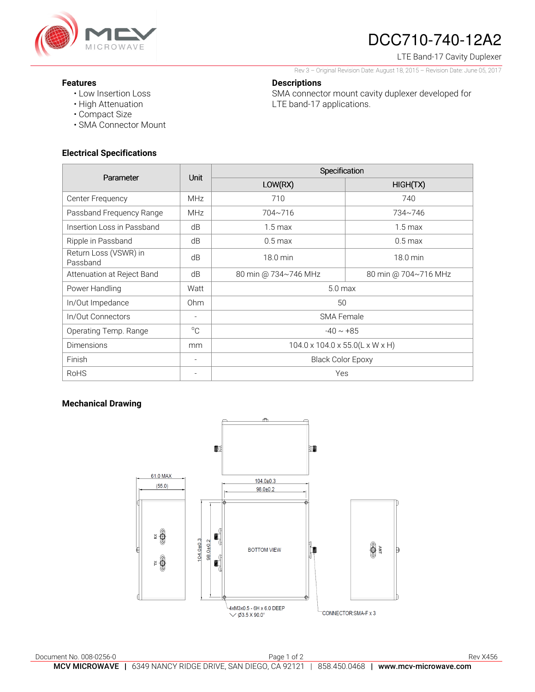

# DCC710-740-12A2

LTE Band-17 Cavity Duplexer

Rev 3 – Original Revision Date: August 18, 2015 – Revision Date: June 05, 2017

SMA connector mount cavity duplexer developed for

### **Features**

- Low Insertion Loss
- High Attenuation
- Compact Size
- SMA Connector Mount

# **Electrical Specifications**

| Parameter                         | <b>Unit</b>              | Specification                   |                      |
|-----------------------------------|--------------------------|---------------------------------|----------------------|
|                                   |                          | LOW(RX)                         | HIGH(TX)             |
| Center Frequency                  | <b>MHz</b>               | 710                             | 740                  |
| Passband Frequency Range          | <b>MHz</b>               | 704~716                         | 734~746              |
| Insertion Loss in Passband        | dB                       | $1.5 \,\mathrm{max}$            | $1.5 \text{ max}$    |
| Ripple in Passband                | dB                       | $0.5 \text{ max}$               | $0.5$ max            |
| Return Loss (VSWR) in<br>Passband | dB                       | 18.0 min                        | 18.0 min             |
| Attenuation at Reject Band        | dB                       | 80 min @ 734~746 MHz            | 80 min @ 704~716 MHz |
| Power Handling                    | Watt                     | 5.0 <sub>max</sub>              |                      |
| In/Out Impedance                  | 0 <sub>hm</sub>          | 50                              |                      |
| In/Out Connectors                 | $\overline{\phantom{a}}$ | <b>SMA Female</b>               |                      |
| Operating Temp. Range             | $^{\circ}C$              | $-40 \sim +85$                  |                      |
| <b>Dimensions</b>                 | mm                       | 104.0 x 104.0 x 55.0(L x W x H) |                      |
| Finish                            |                          | <b>Black Color Epoxy</b>        |                      |
| <b>RoHS</b>                       |                          | Yes                             |                      |

**Descriptions** 

LTE band-17 applications.

# **Mechanical Drawing**